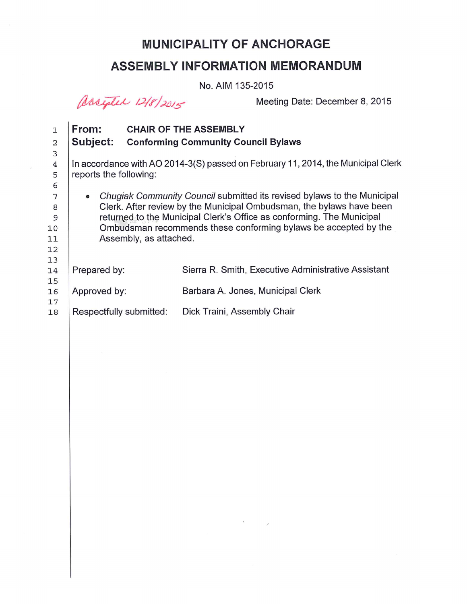### **MUNICIPALITY OF ANCHORAGE**

## **ASSEMBLY INFORMATION MEMORANDUM**

No. AIM 135-2015

assigler 12/8/2015

Meeting Date: December 8, 2015

| $\mathbf{1}$   | From:                                                                                |  | <b>CHAIR OF THE ASSEMBLY</b>                        |
|----------------|--------------------------------------------------------------------------------------|--|-----------------------------------------------------|
| 2              | Subject:                                                                             |  | <b>Conforming Community Council Bylaws</b>          |
| 3              |                                                                                      |  |                                                     |
| $\overline{4}$ | In accordance with AO 2014-3(S) passed on February 11, 2014, the Municipal Clerk     |  |                                                     |
| 5              | reports the following:                                                               |  |                                                     |
| 6              |                                                                                      |  |                                                     |
| 7              | Chugiak Community Council submitted its revised bylaws to the Municipal<br>$\bullet$ |  |                                                     |
| 8              | Clerk. After review by the Municipal Ombudsman, the bylaws have been                 |  |                                                     |
| 9              | returned to the Municipal Clerk's Office as conforming. The Municipal                |  |                                                     |
| 10             | Ombudsman recommends these conforming bylaws be accepted by the                      |  |                                                     |
| 11             | Assembly, as attached.                                                               |  |                                                     |
| 12             |                                                                                      |  |                                                     |
| 13             |                                                                                      |  |                                                     |
| 14             | Prepared by:                                                                         |  | Sierra R. Smith, Executive Administrative Assistant |
| 15             |                                                                                      |  |                                                     |
| 16             | Approved by:                                                                         |  | Barbara A. Jones, Municipal Clerk                   |
| 17             |                                                                                      |  |                                                     |
| 18             | Respectfully submitted:                                                              |  | Dick Traini, Assembly Chair                         |

 $\mathcal{F}$  and  $\mathcal{F}$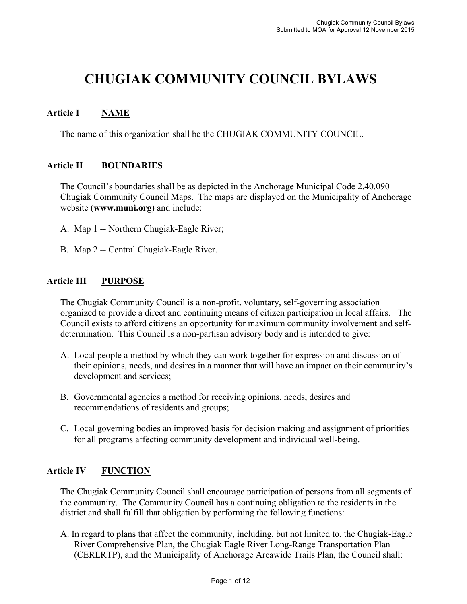# **CHUGIAK COMMUNITY COUNCIL BYLAWS**

#### **Article I NAME**

The name of this organization shall be the CHUGIAK COMMUNITY COUNCIL.

#### **Article II BOUNDARIES**

The Council's boundaries shall be as depicted in the Anchorage Municipal Code 2.40.090 Chugiak Community Council Maps. The maps are displayed on the Municipality of Anchorage website (**www.muni.org**) and include:

- A. Map 1 -- Northern Chugiak-Eagle River;
- B. Map 2 -- Central Chugiak-Eagle River.

#### **Article III PURPOSE**

The Chugiak Community Council is a non-profit, voluntary, self-governing association organized to provide a direct and continuing means of citizen participation in local affairs. The Council exists to afford citizens an opportunity for maximum community involvement and selfdetermination. This Council is a non-partisan advisory body and is intended to give:

- A. Local people a method by which they can work together for expression and discussion of their opinions, needs, and desires in a manner that will have an impact on their community's development and services;
- B. Governmental agencies a method for receiving opinions, needs, desires and recommendations of residents and groups;
- C. Local governing bodies an improved basis for decision making and assignment of priorities for all programs affecting community development and individual well-being.

#### **Article IV FUNCTION**

The Chugiak Community Council shall encourage participation of persons from all segments of the community. The Community Council has a continuing obligation to the residents in the district and shall fulfill that obligation by performing the following functions:

A. In regard to plans that affect the community, including, but not limited to, the Chugiak-Eagle River Comprehensive Plan, the Chugiak Eagle River Long-Range Transportation Plan (CERLRTP), and the Municipality of Anchorage Areawide Trails Plan, the Council shall: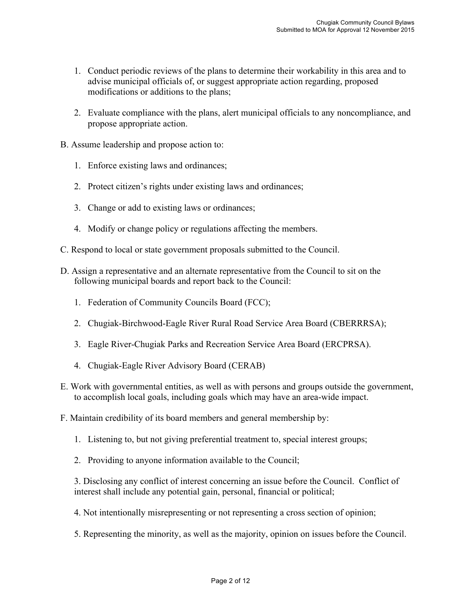- 1. Conduct periodic reviews of the plans to determine their workability in this area and to advise municipal officials of, or suggest appropriate action regarding, proposed modifications or additions to the plans;
- 2. Evaluate compliance with the plans, alert municipal officials to any noncompliance, and propose appropriate action.
- B. Assume leadership and propose action to:
	- 1. Enforce existing laws and ordinances;
	- 2. Protect citizen's rights under existing laws and ordinances;
	- 3. Change or add to existing laws or ordinances;
	- 4. Modify or change policy or regulations affecting the members.
- C. Respond to local or state government proposals submitted to the Council.
- D. Assign a representative and an alternate representative from the Council to sit on the following municipal boards and report back to the Council:
	- 1. Federation of Community Councils Board (FCC);
	- 2. Chugiak-Birchwood-Eagle River Rural Road Service Area Board (CBERRRSA);
	- 3. Eagle River-Chugiak Parks and Recreation Service Area Board (ERCPRSA).
	- 4. Chugiak-Eagle River Advisory Board (CERAB)
- E. Work with governmental entities, as well as with persons and groups outside the government, to accomplish local goals, including goals which may have an area-wide impact.
- F. Maintain credibility of its board members and general membership by:
	- 1. Listening to, but not giving preferential treatment to, special interest groups;
	- 2. Providing to anyone information available to the Council;

3. Disclosing any conflict of interest concerning an issue before the Council. Conflict of interest shall include any potential gain, personal, financial or political;

- 4. Not intentionally misrepresenting or not representing a cross section of opinion;
- 5. Representing the minority, as well as the majority, opinion on issues before the Council.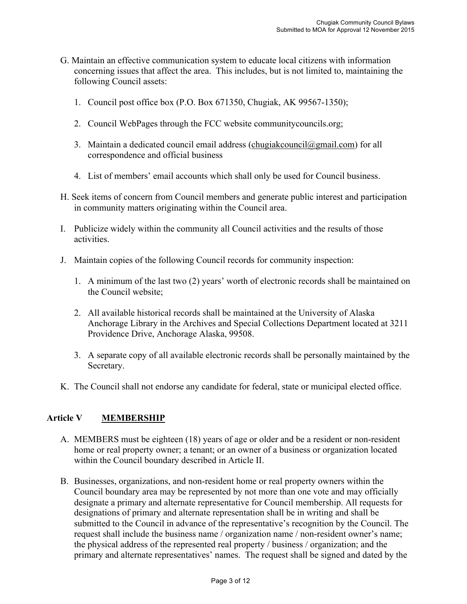- G. Maintain an effective communication system to educate local citizens with information concerning issues that affect the area. This includes, but is not limited to, maintaining the following Council assets:
	- 1. Council post office box (P.O. Box 671350, Chugiak, AK 99567-1350);
	- 2. Council WebPages through the FCC website communitycouncils.org;
	- 3. Maintain a dedicated council email address (chugiak council  $\alpha$  gmail.com) for all correspondence and official business
	- 4. List of members' email accounts which shall only be used for Council business.
- H. Seek items of concern from Council members and generate public interest and participation in community matters originating within the Council area.
- I. Publicize widely within the community all Council activities and the results of those activities.
- J. Maintain copies of the following Council records for community inspection:
	- 1. A minimum of the last two (2) years' worth of electronic records shall be maintained on the Council website;
	- 2. All available historical records shall be maintained at the University of Alaska Anchorage Library in the Archives and Special Collections Department located at 3211 Providence Drive, Anchorage Alaska, 99508.
	- 3. A separate copy of all available electronic records shall be personally maintained by the Secretary.
- K. The Council shall not endorse any candidate for federal, state or municipal elected office.

#### **Article V MEMBERSHIP**

- A. MEMBERS must be eighteen (18) years of age or older and be a resident or non-resident home or real property owner; a tenant; or an owner of a business or organization located within the Council boundary described in Article II.
- B. Businesses, organizations, and non-resident home or real property owners within the Council boundary area may be represented by not more than one vote and may officially designate a primary and alternate representative for Council membership. All requests for designations of primary and alternate representation shall be in writing and shall be submitted to the Council in advance of the representative's recognition by the Council. The request shall include the business name / organization name / non-resident owner's name; the physical address of the represented real property / business / organization; and the primary and alternate representatives' names. The request shall be signed and dated by the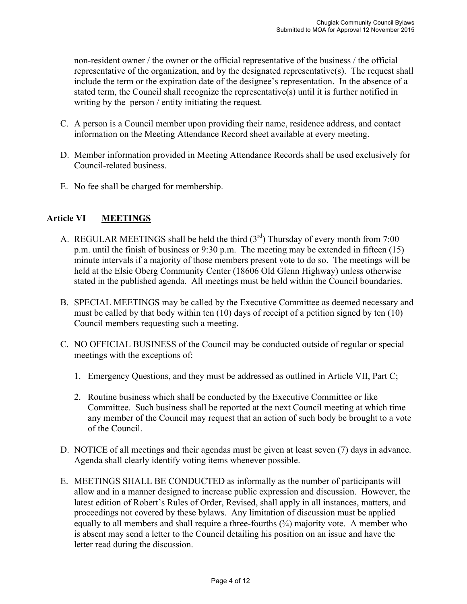non-resident owner / the owner or the official representative of the business / the official representative of the organization, and by the designated representative(s). The request shall include the term or the expiration date of the designee's representation. In the absence of a stated term, the Council shall recognize the representative(s) until it is further notified in writing by the person / entity initiating the request.

- C. A person is a Council member upon providing their name, residence address, and contact information on the Meeting Attendance Record sheet available at every meeting.
- D. Member information provided in Meeting Attendance Records shall be used exclusively for Council-related business.
- E. No fee shall be charged for membership.

#### **Article VI MEETINGS**

- A. REGULAR MEETINGS shall be held the third  $(3<sup>rd</sup>)$  Thursday of every month from 7:00 p.m. until the finish of business or 9:30 p.m. The meeting may be extended in fifteen (15) minute intervals if a majority of those members present vote to do so. The meetings will be held at the Elsie Oberg Community Center (18606 Old Glenn Highway) unless otherwise stated in the published agenda. All meetings must be held within the Council boundaries.
- B. SPECIAL MEETINGS may be called by the Executive Committee as deemed necessary and must be called by that body within ten (10) days of receipt of a petition signed by ten (10) Council members requesting such a meeting.
- C. NO OFFICIAL BUSINESS of the Council may be conducted outside of regular or special meetings with the exceptions of:
	- 1. Emergency Questions, and they must be addressed as outlined in Article VII, Part C;
	- 2. Routine business which shall be conducted by the Executive Committee or like Committee. Such business shall be reported at the next Council meeting at which time any member of the Council may request that an action of such body be brought to a vote of the Council.
- D. NOTICE of all meetings and their agendas must be given at least seven (7) days in advance. Agenda shall clearly identify voting items whenever possible.
- E. MEETINGS SHALL BE CONDUCTED as informally as the number of participants will allow and in a manner designed to increase public expression and discussion. However, the latest edition of Robert's Rules of Order, Revised, shall apply in all instances, matters, and proceedings not covered by these bylaws. Any limitation of discussion must be applied equally to all members and shall require a three-fourths  $(3/4)$  majority vote. A member who is absent may send a letter to the Council detailing his position on an issue and have the letter read during the discussion.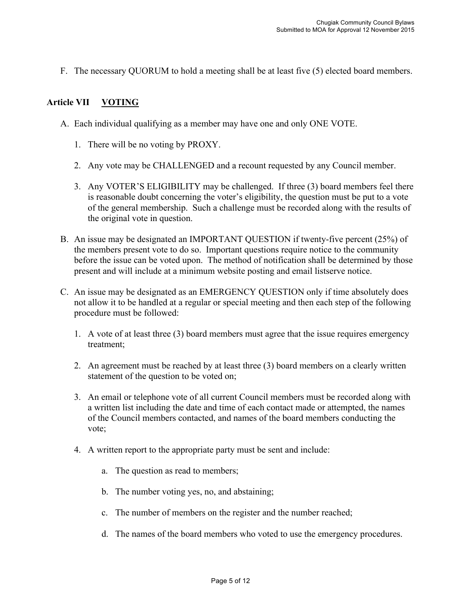F. The necessary QUORUM to hold a meeting shall be at least five (5) elected board members.

#### **Article VII VOTING**

- A. Each individual qualifying as a member may have one and only ONE VOTE.
	- 1. There will be no voting by PROXY.
	- 2. Any vote may be CHALLENGED and a recount requested by any Council member.
	- 3. Any VOTER'S ELIGIBILITY may be challenged. If three (3) board members feel there is reasonable doubt concerning the voter's eligibility, the question must be put to a vote of the general membership. Such a challenge must be recorded along with the results of the original vote in question.
- B. An issue may be designated an IMPORTANT QUESTION if twenty-five percent (25%) of the members present vote to do so. Important questions require notice to the community before the issue can be voted upon. The method of notification shall be determined by those present and will include at a minimum website posting and email listserve notice.
- C. An issue may be designated as an EMERGENCY QUESTION only if time absolutely does not allow it to be handled at a regular or special meeting and then each step of the following procedure must be followed:
	- 1. A vote of at least three (3) board members must agree that the issue requires emergency treatment;
	- 2. An agreement must be reached by at least three (3) board members on a clearly written statement of the question to be voted on;
	- 3. An email or telephone vote of all current Council members must be recorded along with a written list including the date and time of each contact made or attempted, the names of the Council members contacted, and names of the board members conducting the vote;
	- 4. A written report to the appropriate party must be sent and include:
		- a. The question as read to members;
		- b. The number voting yes, no, and abstaining;
		- c. The number of members on the register and the number reached;
		- d. The names of the board members who voted to use the emergency procedures.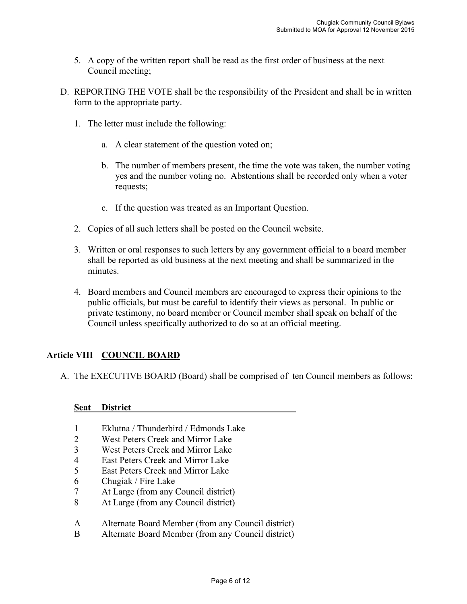- 5. A copy of the written report shall be read as the first order of business at the next Council meeting;
- D. REPORTING THE VOTE shall be the responsibility of the President and shall be in written form to the appropriate party.
	- 1. The letter must include the following:
		- a. A clear statement of the question voted on;
		- b. The number of members present, the time the vote was taken, the number voting yes and the number voting no. Abstentions shall be recorded only when a voter requests;
		- c. If the question was treated as an Important Question.
	- 2. Copies of all such letters shall be posted on the Council website.
	- 3. Written or oral responses to such letters by any government official to a board member shall be reported as old business at the next meeting and shall be summarized in the minutes.
	- 4. Board members and Council members are encouraged to express their opinions to the public officials, but must be careful to identify their views as personal. In public or private testimony, no board member or Council member shall speak on behalf of the Council unless specifically authorized to do so at an official meeting.

#### **Article VIII COUNCIL BOARD**

A. The EXECUTIVE BOARD (Board) shall be comprised of ten Council members as follows:

#### **Seat District\_\_\_\_\_\_\_\_\_\_\_\_\_\_\_\_\_\_\_\_\_\_\_\_\_\_\_\_\_\_\_\_\_\_\_\_**

- 1 Eklutna / Thunderbird / Edmonds Lake
- 2 West Peters Creek and Mirror Lake
- 3 West Peters Creek and Mirror Lake
- 4 East Peters Creek and Mirror Lake
- 5 East Peters Creek and Mirror Lake
- 6 Chugiak / Fire Lake
- 7 At Large (from any Council district)
- 8 At Large (from any Council district)
- A Alternate Board Member (from any Council district)
- B Alternate Board Member (from any Council district)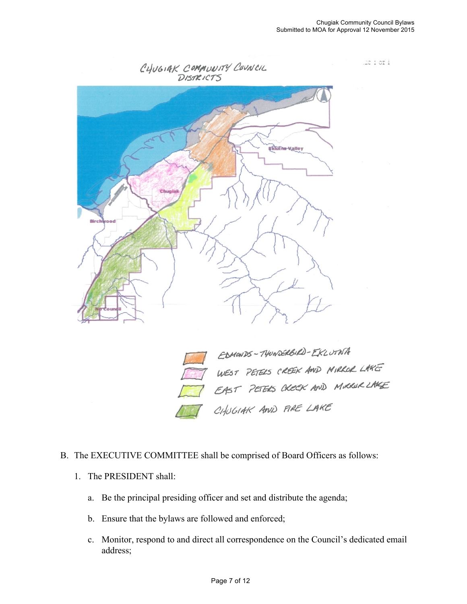miori





### B. The EXECUTIVE COMMITTEE shall be comprised of Board Officers as follows:

- 1. The PRESIDENT shall:
	- a. Be the principal presiding officer and set and distribute the agenda;
	- b. Ensure that the bylaws are followed and enforced;
	- c. Monitor, respond to and direct all correspondence on the Council's dedicated email address;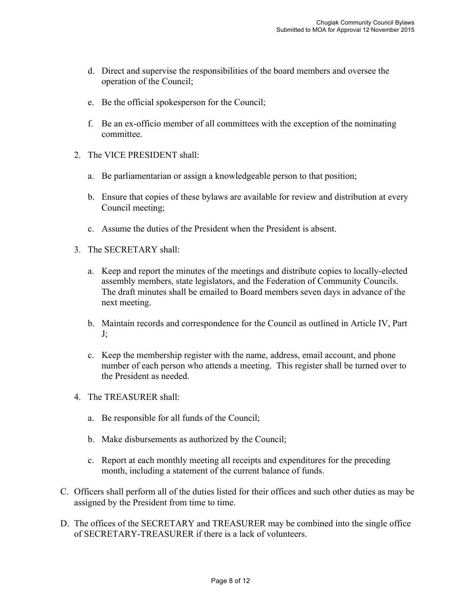- d. Direct and supervise the responsibilities of the board members and oversee the operation of the Council;
- e. Be the official spokesperson for the Council;
- f. Be an ex-officio member of all committees with the exception of the nominating committee.
- 2. The VICE PRESIDENT shall:
	- a. Be parliamentarian or assign a knowledgeable person to that position;
	- b. Ensure that copies of these bylaws are available for review and distribution at every Council meeting;
	- c. Assume the duties of the President when the President is absent.
- 3. The SECRETARY shall:
	- a. Keep and report the minutes of the meetings and distribute copies to locally-elected assembly members*,* state legislators, and the Federation of Community Councils. The draft minutes shall be emailed to Board members seven days in advance of the next meeting.
	- b. Maintain records and correspondence for the Council as outlined in Article IV, Part J;
	- c. Keep the membership register with the name, address, email account, and phone number of each person who attends a meeting. This register shall be turned over to the President as needed.
- 4. The TREASURER shall:
	- a. Be responsible for all funds of the Council;
	- b. Make disbursements as authorized by the Council;
	- c. Report at each monthly meeting all receipts and expenditures for the preceding month, including a statement of the current balance of funds.
- C. Officers shall perform all of the duties listed for their offices and such other duties as may be assigned by the President from time to time.
- D. The offices of the SECRETARY and TREASURER may be combined into the single office of SECRETARY-TREASURER if there is a lack of volunteers.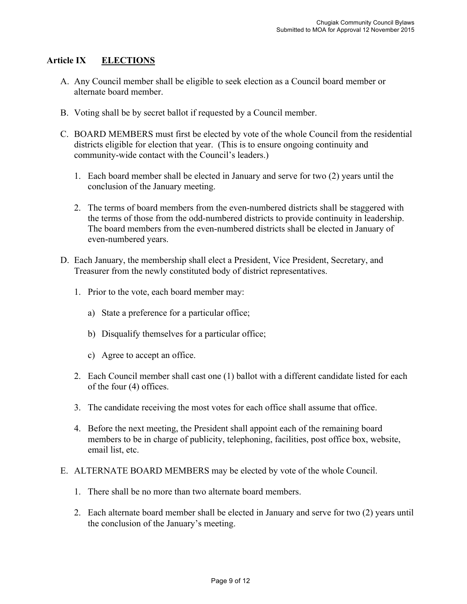#### **Article IX ELECTIONS**

- A. Any Council member shall be eligible to seek election as a Council board member or alternate board member.
- B. Voting shall be by secret ballot if requested by a Council member.
- C. BOARD MEMBERS must first be elected by vote of the whole Council from the residential districts eligible for election that year. (This is to ensure ongoing continuity and community-wide contact with the Council's leaders.)
	- 1. Each board member shall be elected in January and serve for two (2) years until the conclusion of the January meeting.
	- 2. The terms of board members from the even-numbered districts shall be staggered with the terms of those from the odd-numbered districts to provide continuity in leadership. The board members from the even-numbered districts shall be elected in January of even-numbered years.
- D. Each January, the membership shall elect a President, Vice President, Secretary, and Treasurer from the newly constituted body of district representatives.
	- 1. Prior to the vote, each board member may:
		- a) State a preference for a particular office;
		- b) Disqualify themselves for a particular office;
		- c) Agree to accept an office.
	- 2. Each Council member shall cast one (1) ballot with a different candidate listed for each of the four (4) offices.
	- 3. The candidate receiving the most votes for each office shall assume that office.
	- 4. Before the next meeting, the President shall appoint each of the remaining board members to be in charge of publicity, telephoning, facilities, post office box, website, email list, etc.
- E. ALTERNATE BOARD MEMBERS may be elected by vote of the whole Council.
	- 1. There shall be no more than two alternate board members.
	- 2. Each alternate board member shall be elected in January and serve for two (2) years until the conclusion of the January's meeting.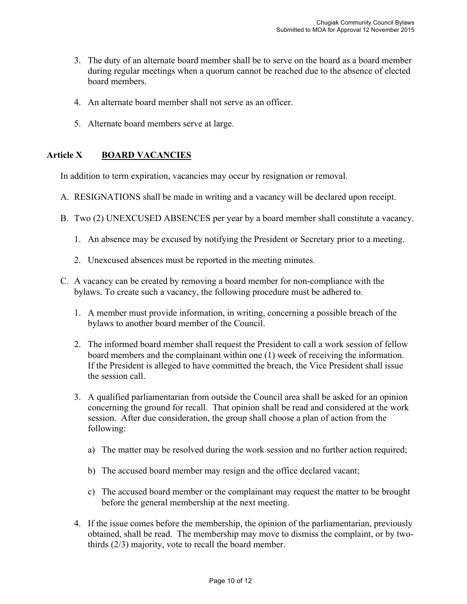- 3. The duty of an alternate board member shall be to serve on the board as a board member during regular meetings when a quorum cannot be reached due to the absence of elected board members.
- 4. An alternate board member shall not serve as an officer.
- 5. Alternate board members serve at large.

#### **Article X BOARD VACANCIES**

In addition to term expiration, vacancies may occur by resignation or removal.

- A. RESIGNATIONS shall be made in writing and a vacancy will be declared upon receipt.
- B. Two (2) UNEXCUSED ABSENCES per year by a board member shall constitute a vacancy.
	- 1. An absence may be excused by notifying the President or Secretary prior to a meeting.
	- 2. Unexcused absences must be reported in the meeting minutes.
- C. A vacancy can be created by removing a board member for non-compliance with the bylaws. To create such a vacancy, the following procedure must be adhered to.
	- 1. A member must provide information, in writing, concerning a possible breach of the bylaws to another board member of the Council.
	- 2. The informed board member shall request the President to call a work session of fellow board members and the complainant within one (1) week of receiving the information. If the President is alleged to have committed the breach, the Vice President shall issue the session call.
	- 3. A qualified parliamentarian from outside the Council area shall be asked for an opinion concerning the ground for recall. That opinion shall be read and considered at the work session. After due consideration, the group shall choose a plan of action from the following:
		- a) The matter may be resolved during the work session and no further action required;
		- b) The accused board member may resign and the office declared vacant;
		- c) The accused board member or the complainant may request the matter to be brought before the general membership at the next meeting.
	- 4. If the issue comes before the membership, the opinion of the parliamentarian, previously obtained, shall be read. The membership may move to dismiss the complaint, or by twothirds (2/3) majority, vote to recall the board member.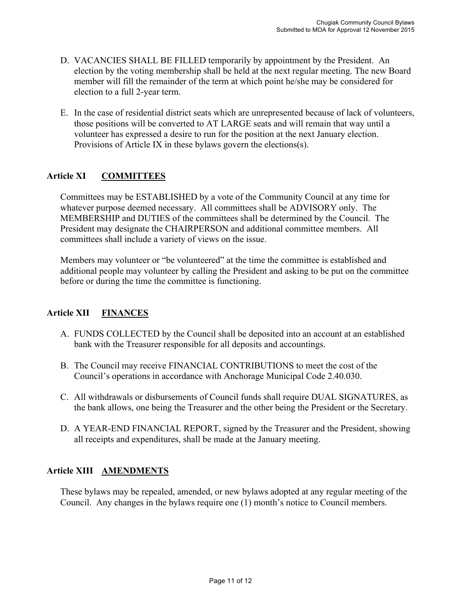- D. VACANCIES SHALL BE FILLED temporarily by appointment by the President. An election by the voting membership shall be held at the next regular meeting. The new Board member will fill the remainder of the term at which point he/she may be considered for election to a full 2-year term.
- E. In the case of residential district seats which are unrepresented because of lack of volunteers, those positions will be converted to AT LARGE seats and will remain that way until a volunteer has expressed a desire to run for the position at the next January election. Provisions of Article IX in these bylaws govern the elections(s).

#### **Article XI COMMITTEES**

Committees may be ESTABLISHED by a vote of the Community Council at any time for whatever purpose deemed necessary. All committees shall be ADVISORY only. The MEMBERSHIP and DUTIES of the committees shall be determined by the Council. The President may designate the CHAIRPERSON and additional committee members. All committees shall include a variety of views on the issue.

Members may volunteer or "be volunteered" at the time the committee is established and additional people may volunteer by calling the President and asking to be put on the committee before or during the time the committee is functioning.

#### **Article XII FINANCES**

- A. FUNDS COLLECTED by the Council shall be deposited into an account at an established bank with the Treasurer responsible for all deposits and accountings.
- B. The Council may receive FINANCIAL CONTRIBUTIONS to meet the cost of the Council's operations in accordance with Anchorage Municipal Code 2.40.030.
- C. All withdrawals or disbursements of Council funds shall require DUAL SIGNATURES, as the bank allows, one being the Treasurer and the other being the President or the Secretary.
- D. A YEAR-END FINANCIAL REPORT, signed by the Treasurer and the President, showing all receipts and expenditures, shall be made at the January meeting.

#### **Article XIII AMENDMENTS**

These bylaws may be repealed, amended, or new bylaws adopted at any regular meeting of the Council. Any changes in the bylaws require one (1) month's notice to Council members.